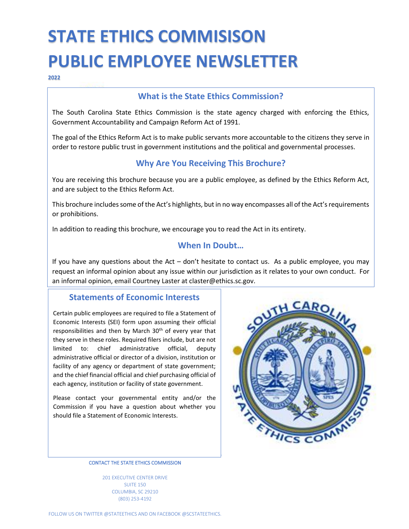# **STATE ETHICS COMMISISON PUBLIC EMPLOYEE NEWSLETTER**

**2022**

## **What is the State Ethics Commission?**

The South Carolina State Ethics Commission is the state agency charged with enforcing the Ethics, Government Accountability and Campaign Reform Act of 1991.

The goal of the Ethics Reform Act is to make public servants more accountable to the citizens they serve in order to restore public trust in government institutions and the political and governmental processes.

## **Why Are You Receiving This Brochure?**

You are receiving this brochure because you are a public employee, as defined by the Ethics Reform Act, and are subject to the Ethics Reform Act.

This brochure includes some of the Act's highlights, but in no way encompasses all of the Act's requirements or prohibitions.

In addition to reading this brochure, we encourage you to read the Act in its entirety.

## **When In Doubt…**

If you have any questions about the Act  $-$  don't hesitate to contact us. As a public employee, you may request an informal opinion about any issue within our jurisdiction as it relates to your own conduct. For an informal opinion, email Courtney Laster at claster@ethics.sc.gov.

#### **Statements of Economic Interests**

Certain public employees are required to file a Statement of Economic Interests (SEI) form upon assuming their official responsibilities and then by March 30<sup>th</sup> of every year that they serve in these roles. Required filers include, but are not limited to: chief administrative official, deputy administrative official or director of a division, institution or facility of any agency or department of state government; and the chief financial official and chief purchasing official of each agency, institution or facility of state government.

Please contact your governmental entity and/or the Commission if you have a question about whether you should file a Statement of Economic Interests.



CONTACT THE STATE ETHICS COMMISSION

201 EXECUTIVE CENTER DRIVE SUITE 150 COLUMBIA, SC 29210 (803) 253-4192

FOLLOW US ON TWITTER @STATEETHICS AND ON FACEBOOK @SCSTATEETHICS.